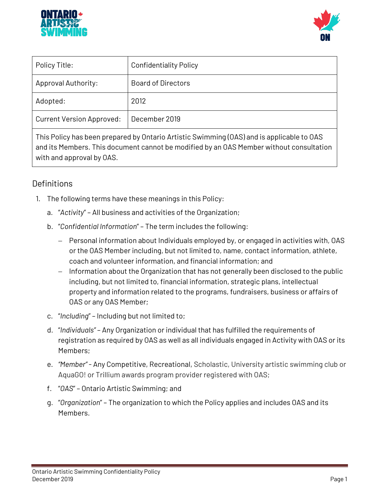



| Policy Title:                    | <b>Confidentiality Policy</b> |
|----------------------------------|-------------------------------|
| <b>Approval Authority:</b>       | <b>Board of Directors</b>     |
| Adopted:                         | 2012                          |
| <b>Current Version Approved:</b> | December 2019                 |
|                                  |                               |

This Policy has been prepared by Ontario Artistic Swimming (OAS) and is applicable to OAS and its Members. This document cannot be modified by an OAS Member without consultation with and approval by OAS.

# **Definitions**

- 1. The following terms have these meanings in this Policy:
	- a. "*Activity*" All business and activities of the Organization;
	- b. "*Confidential Information*" The term includes the following:
		- − Personal information about Individuals employed by, or engaged in activities with, OAS or the OAS Member including, but not limited to, name, contact information, athlete, coach and volunteer information, and financial information; and
		- − Information about the Organization that has not generally been disclosed to the public including, but not limited to, financial information, strategic plans, intellectual property and information related to the programs, fundraisers, business or affairs of OAS or any OAS Member;
	- c. "*Including*" Including but not limited to;
	- d. "*Individuals"* Any Organization or individual that has fulfilled the requirements of registration as required by OAS as well as all individuals engaged in Activity with OAS or its Members;
	- e. *"Member"*  Any Competitive, Recreational, Scholastic, University artistic swimming club or AquaGO! or Trillium awards program provider registered with OAS;
	- f. "*OAS*" Ontario Artistic Swimming; and
	- g. "*Organization*" The organization to which the Policy applies and includes OAS and its Members.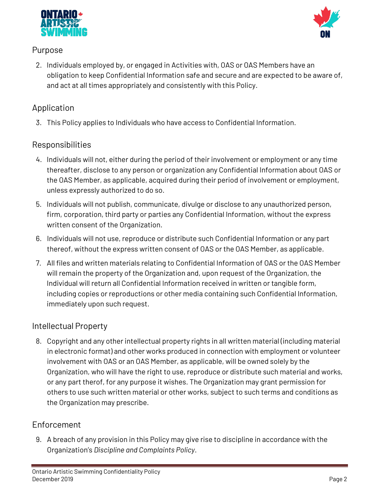



#### **Purpose**

2. Individuals employed by, or engaged in Activities with, OAS or OAS Members have an obligation to keep Confidential Information safe and secure and are expected to be aware of, and act at all times appropriately and consistently with this Policy.

# **Application**

3. This Policy applies to Individuals who have access to Confidential Information.

### **Responsibilities**

- 4. Individuals will not, either during the period of their involvement or employment or any time thereafter, disclose to any person or organization any Confidential Information about OAS or the OAS Member, as applicable, acquired during their period of involvement or employment, unless expressly authorized to do so.
- 5. Individuals will not publish, communicate, divulge or disclose to any unauthorized person, firm, corporation, third party or parties any Confidential Information, without the express written consent of the Organization.
- 6. Individuals will not use, reproduce or distribute such Confidential Information or any part thereof, without the express written consent of OAS or the OAS Member, as applicable.
- 7. All files and written materials relating to Confidential Information of OAS or the OAS Member will remain the property of the Organization and, upon request of the Organization, the Individual will return all Confidential Information received in written or tangible form, including copies or reproductions or other media containing such Confidential Information, immediately upon such request.

#### **Intellectual Property**

8. Copyright and any other intellectual property rights in all written material (including material in electronic format) and other works produced in connection with employment or volunteer involvement with OAS or an OAS Member, as applicable, will be owned solely by the Organization, who will have the right to use, reproduce or distribute such material and works, or any part therof, for any purpose it wishes. The Organization may grant permission for others to use such written material or other works, subject to such terms and conditions as the Organization may prescribe.

## **Enforcement**

9. A breach of any provision in this Policy may give rise to discipline in accordance with the Organization's *Discipline and Complaints Policy***.**